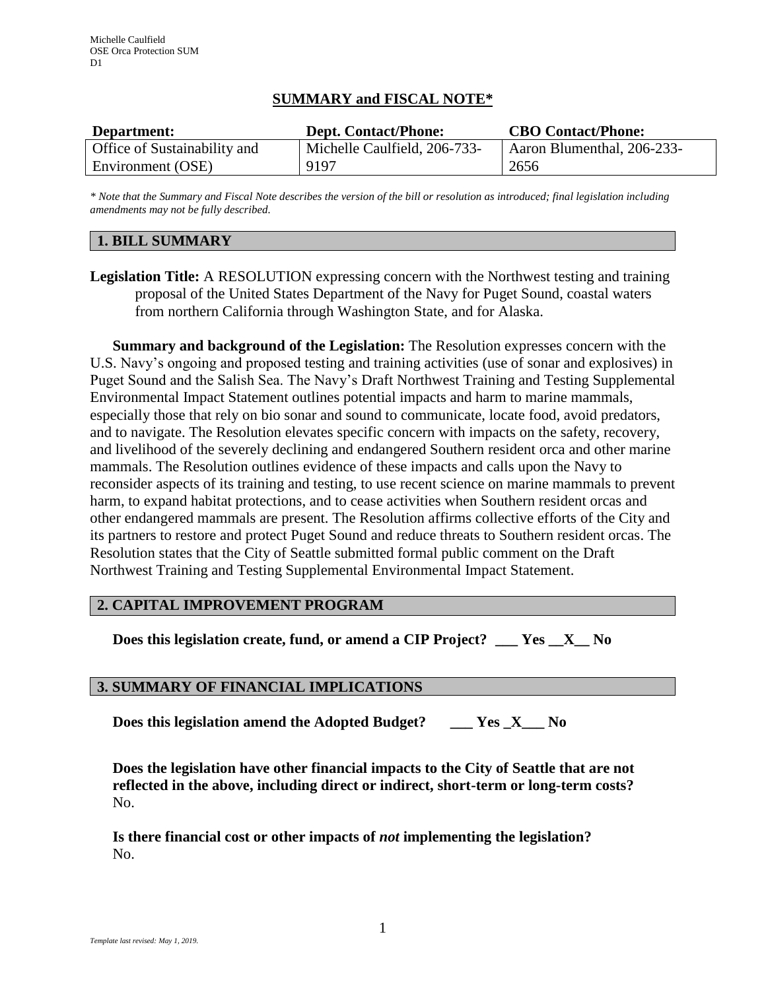## **SUMMARY and FISCAL NOTE\***

| Department:                         | <b>Dept. Contact/Phone:</b>  | <b>CBO Contact/Phone:</b>  |
|-------------------------------------|------------------------------|----------------------------|
| <b>Office of Sustainability and</b> | Michelle Caulfield, 206-733- | Aaron Blumenthal, 206-233- |
| Environment (OSE)                   | 9197                         | 2656                       |

*\* Note that the Summary and Fiscal Note describes the version of the bill or resolution as introduced; final legislation including amendments may not be fully described.*

### **1. BILL SUMMARY**

**Legislation Title:** A RESOLUTION expressing concern with the Northwest testing and training proposal of the United States Department of the Navy for Puget Sound, coastal waters from northern California through Washington State, and for Alaska.

**Summary and background of the Legislation:** The Resolution expresses concern with the U.S. Navy's ongoing and proposed testing and training activities (use of sonar and explosives) in Puget Sound and the Salish Sea. The Navy's Draft Northwest Training and Testing Supplemental Environmental Impact Statement outlines potential impacts and harm to marine mammals, especially those that rely on bio sonar and sound to communicate, locate food, avoid predators, and to navigate. The Resolution elevates specific concern with impacts on the safety, recovery, and livelihood of the severely declining and endangered Southern resident orca and other marine mammals. The Resolution outlines evidence of these impacts and calls upon the Navy to reconsider aspects of its training and testing, to use recent science on marine mammals to prevent harm, to expand habitat protections, and to cease activities when Southern resident orcas and other endangered mammals are present. The Resolution affirms collective efforts of the City and its partners to restore and protect Puget Sound and reduce threats to Southern resident orcas. The Resolution states that the City of Seattle submitted formal public comment on the Draft Northwest Training and Testing Supplemental Environmental Impact Statement.

# **2. CAPITAL IMPROVEMENT PROGRAM**

**Does this legislation create, fund, or amend a CIP Project? \_\_\_ Yes \_\_X\_\_ No**

### **3. SUMMARY OF FINANCIAL IMPLICATIONS**

**Does this legislation amend the Adopted Budget? \_\_\_ Yes \_X\_\_\_ No**

**Does the legislation have other financial impacts to the City of Seattle that are not reflected in the above, including direct or indirect, short-term or long-term costs?** No.

**Is there financial cost or other impacts of** *not* **implementing the legislation?** No.